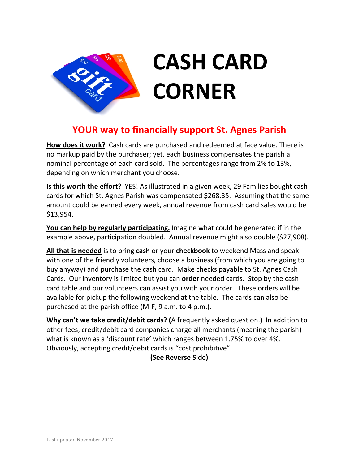

## **CASH CARD CORNER**

## **YOUR way to financially support St. Agnes Parish**

**How does it work?** Cash cards are purchased and redeemed at face value. There is no markup paid by the purchaser; yet, each business compensates the parish a nominal percentage of each card sold. The percentages range from 2% to 13%, depending on which merchant you choose.

**Is this worth the effort?** YES! As illustrated in a given week, 29 Families bought cash cards for which St. Agnes Parish was compensated \$268.35. Assuming that the same amount could be earned every week, annual revenue from cash card sales would be \$13,954.

**You can help by regularly participating.** Imagine what could be generated if in the example above, participation doubled. Annual revenue might also double (\$27,908).

**All that is needed** is to bring **cash** or your **checkbook** to weekend Mass and speak with one of the friendly volunteers, choose a business (from which you are going to buy anyway) and purchase the cash card. Make checks payable to St. Agnes Cash Cards. Our inventory is limited but you can **order** needed cards. Stop by the cash card table and our volunteers can assist you with your order. These orders will be available for pickup the following weekend at the table. The cards can also be purchased at the parish office (M-F, 9 a.m. to 4 p.m.).

**Why can't we take credit/debit cards? (**A frequently asked question.) In addition to other fees, credit/debit card companies charge all merchants (meaning the parish) what is known as a 'discount rate' which ranges between 1.75% to over 4%. Obviously, accepting credit/debit cards is "cost prohibitive".

**(See Reverse Side)**